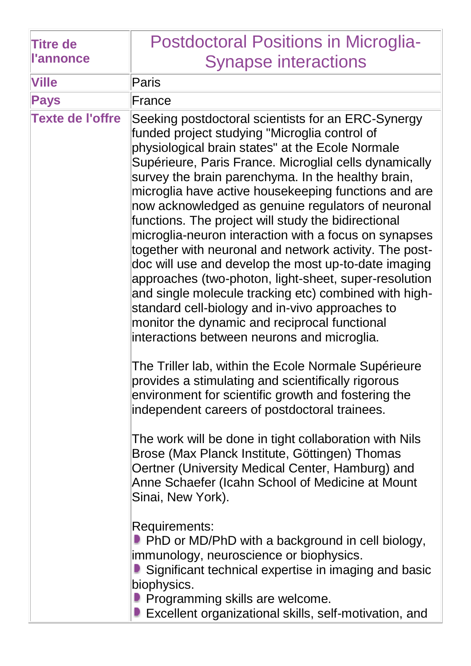| <b>Titre de</b><br><b>l'annonce</b> | <b>Postdoctoral Positions in Microglia-</b><br><b>Synapse interactions</b>                                                                                                                                                                                                                                                                                                                                                                                                                                                                                                                                                                                                                                                                                                                                                                                                                   |
|-------------------------------------|----------------------------------------------------------------------------------------------------------------------------------------------------------------------------------------------------------------------------------------------------------------------------------------------------------------------------------------------------------------------------------------------------------------------------------------------------------------------------------------------------------------------------------------------------------------------------------------------------------------------------------------------------------------------------------------------------------------------------------------------------------------------------------------------------------------------------------------------------------------------------------------------|
| <b>Ville</b>                        |                                                                                                                                                                                                                                                                                                                                                                                                                                                                                                                                                                                                                                                                                                                                                                                                                                                                                              |
| <b>Pays</b>                         | <b>Paris</b><br>France                                                                                                                                                                                                                                                                                                                                                                                                                                                                                                                                                                                                                                                                                                                                                                                                                                                                       |
| <b>Texte de l'offre</b>             | Seeking postdoctoral scientists for an ERC-Synergy<br>funded project studying "Microglia control of<br>physiological brain states" at the Ecole Normale<br>Supérieure, Paris France. Microglial cells dynamically<br>survey the brain parenchyma. In the healthy brain,<br>microglia have active housekeeping functions and are<br>now acknowledged as genuine regulators of neuronal<br>functions. The project will study the bidirectional<br>microglia-neuron interaction with a focus on synapses<br>together with neuronal and network activity. The post-<br>doc will use and develop the most up-to-date imaging<br>approaches (two-photon, light-sheet, super-resolution<br>and single molecule tracking etc) combined with high-<br>standard cell-biology and in-vivo approaches to<br>monitor the dynamic and reciprocal functional<br>interactions between neurons and microglia. |
|                                     | The Triller lab, within the Ecole Normale Supérieure<br>provides a stimulating and scientifically rigorous<br>environment for scientific growth and fostering the<br>independent careers of postdoctoral trainees.<br>The work will be done in tight collaboration with Nils<br>Brose (Max Planck Institute, Göttingen) Thomas<br>Oertner (University Medical Center, Hamburg) and                                                                                                                                                                                                                                                                                                                                                                                                                                                                                                           |
|                                     | Anne Schaefer (Icahn School of Medicine at Mount<br>Sinai, New York).<br>Requirements:<br><b>P</b> PhD or MD/PhD with a background in cell biology,<br>immunology, neuroscience or biophysics.<br>Significant technical expertise in imaging and basic<br>biophysics.<br><b>P</b> Programming skills are welcome.<br>■ Excellent organizational skills, self-motivation, and                                                                                                                                                                                                                                                                                                                                                                                                                                                                                                                 |